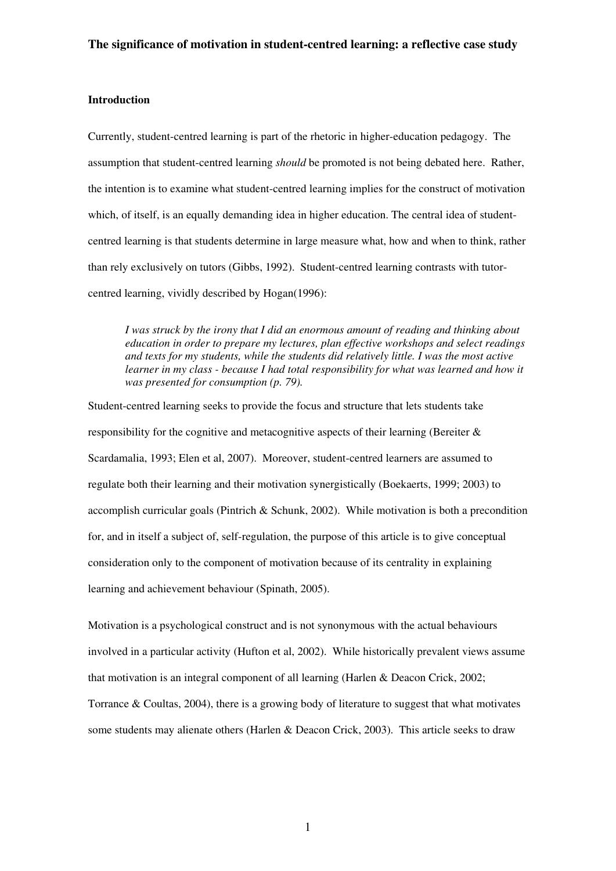### **Introduction**

Currently, student-centred learning is part of the rhetoric in higher-education pedagogy. The assumption that student-centred learning *should* be promoted is not being debated here. Rather, the intention is to examine what student-centred learning implies for the construct of motivation which, of itself, is an equally demanding idea in higher education. The central idea of studentcentred learning is that students determine in large measure what, how and when to think, rather than rely exclusively on tutors (Gibbs, 1992). Student-centred learning contrasts with tutorcentred learning, vividly described by Hogan(1996):

*I was struck by the irony that I did an enormous amount of reading and thinking about education in order to prepare my lectures, plan effective workshops and select readings and texts for my students, while the students did relatively little. I was the most active*  learner in my class - because I had total responsibility for what was learned and how it *was presented for consumption (p. 79).* 

Student-centred learning seeks to provide the focus and structure that lets students take responsibility for the cognitive and metacognitive aspects of their learning (Bereiter & Scardamalia, 1993; Elen et al, 2007). Moreover, student-centred learners are assumed to regulate both their learning and their motivation synergistically (Boekaerts, 1999; 2003) to accomplish curricular goals (Pintrich & Schunk, 2002). While motivation is both a precondition for, and in itself a subject of, self-regulation, the purpose of this article is to give conceptual consideration only to the component of motivation because of its centrality in explaining learning and achievement behaviour (Spinath, 2005).

Motivation is a psychological construct and is not synonymous with the actual behaviours involved in a particular activity (Hufton et al, 2002). While historically prevalent views assume that motivation is an integral component of all learning (Harlen & Deacon Crick, 2002; Torrance & Coultas, 2004), there is a growing body of literature to suggest that what motivates some students may alienate others (Harlen & Deacon Crick, 2003). This article seeks to draw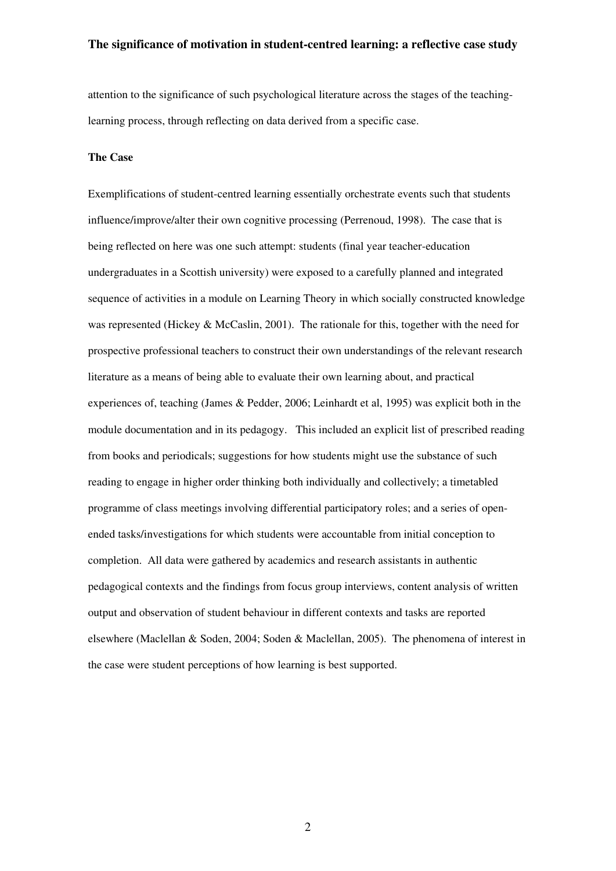attention to the significance of such psychological literature across the stages of the teachinglearning process, through reflecting on data derived from a specific case.

#### **The Case**

Exemplifications of student-centred learning essentially orchestrate events such that students influence/improve/alter their own cognitive processing (Perrenoud, 1998). The case that is being reflected on here was one such attempt: students (final year teacher-education undergraduates in a Scottish university) were exposed to a carefully planned and integrated sequence of activities in a module on Learning Theory in which socially constructed knowledge was represented (Hickey & McCaslin, 2001). The rationale for this, together with the need for prospective professional teachers to construct their own understandings of the relevant research literature as a means of being able to evaluate their own learning about, and practical experiences of, teaching (James & Pedder, 2006; Leinhardt et al, 1995) was explicit both in the module documentation and in its pedagogy. This included an explicit list of prescribed reading from books and periodicals; suggestions for how students might use the substance of such reading to engage in higher order thinking both individually and collectively; a timetabled programme of class meetings involving differential participatory roles; and a series of openended tasks/investigations for which students were accountable from initial conception to completion. All data were gathered by academics and research assistants in authentic pedagogical contexts and the findings from focus group interviews, content analysis of written output and observation of student behaviour in different contexts and tasks are reported elsewhere (Maclellan & Soden, 2004; Soden & Maclellan, 2005). The phenomena of interest in the case were student perceptions of how learning is best supported.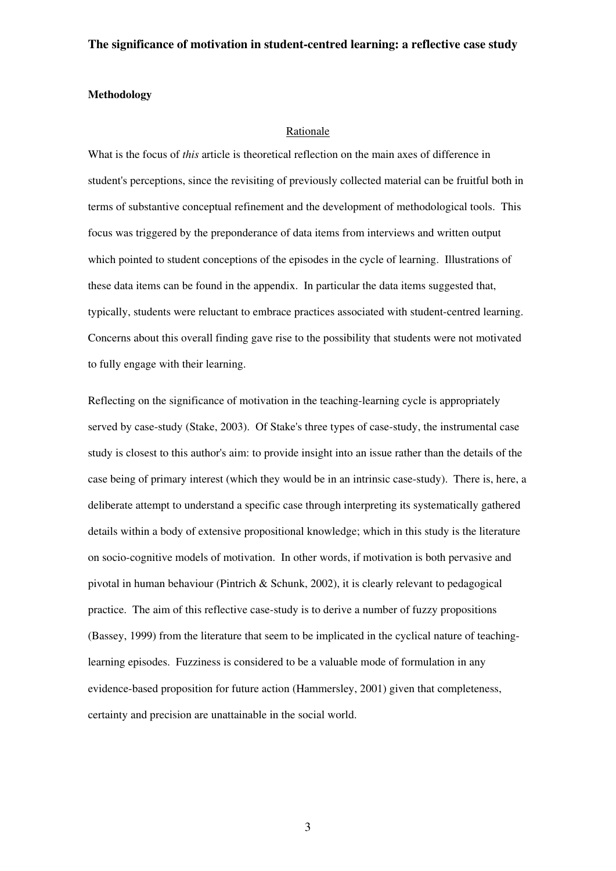#### **Methodology**

#### Rationale

What is the focus of *this* article is theoretical reflection on the main axes of difference in student's perceptions, since the revisiting of previously collected material can be fruitful both in terms of substantive conceptual refinement and the development of methodological tools. This focus was triggered by the preponderance of data items from interviews and written output which pointed to student conceptions of the episodes in the cycle of learning. Illustrations of these data items can be found in the appendix. In particular the data items suggested that, typically, students were reluctant to embrace practices associated with student-centred learning. Concerns about this overall finding gave rise to the possibility that students were not motivated to fully engage with their learning.

Reflecting on the significance of motivation in the teaching-learning cycle is appropriately served by case-study (Stake, 2003). Of Stake's three types of case-study, the instrumental case study is closest to this author's aim: to provide insight into an issue rather than the details of the case being of primary interest (which they would be in an intrinsic case-study). There is, here, a deliberate attempt to understand a specific case through interpreting its systematically gathered details within a body of extensive propositional knowledge; which in this study is the literature on socio-cognitive models of motivation. In other words, if motivation is both pervasive and pivotal in human behaviour (Pintrich & Schunk, 2002), it is clearly relevant to pedagogical practice. The aim of this reflective case-study is to derive a number of fuzzy propositions (Bassey, 1999) from the literature that seem to be implicated in the cyclical nature of teachinglearning episodes. Fuzziness is considered to be a valuable mode of formulation in any evidence-based proposition for future action (Hammersley, 2001) given that completeness, certainty and precision are unattainable in the social world.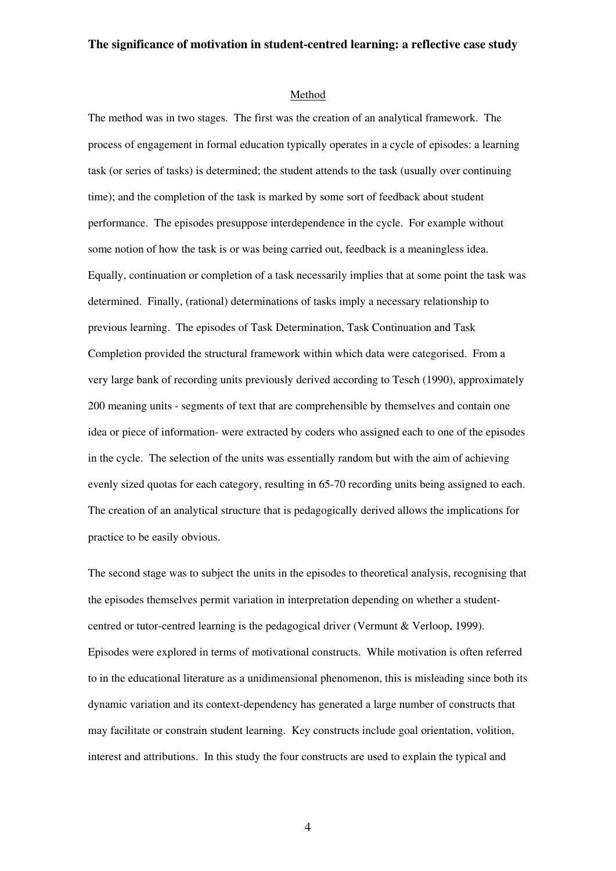#### Method

The method was in two stages. The first was the creation of an analytical framework. The process of engagement in formal education typically operates in a cycle of episodes: a learning task (or series of tasks) is determined; the student attends to the task (usually over continuing time); and the completion of the task is marked by some sort of feedback about student performance. The episodes presuppose interdependence in the cycle. For example without some notion of how the task is or was being carried out, feedback is a meaningless idea. Equally, continuation or completion of a task necessarily implies that at some point the task was determined. Finally, (rational) determinations of tasks imply a necessary relationship to previous learning. The episodes of Task Determination, Task Continuation and Task Completion provided the structural framework within which data were categorised. From a very large bank of recording units previously derived according to Tesch (1990), approximately 200 meaning units - segments of text that are comprehensible by themselves and contain one idea or piece of information- were extracted by coders who assigned each to one of the episodes in the cycle. The selection of the units was essentially random but with the aim of achieving evenly sized quotas for each category, resulting in 65-70 recording units being assigned to each. The creation of an analytical structure that is pedagogically derived allows the implications for practice to be easily obvious.

The second stage was to subject the units in the episodes to theoretical analysis, recognising that the episodes themselves permit variation in interpretation depending on whether a studentcentred or tutor-centred learning is the pedagogical driver (Vermunt & Verloop, 1999). Episodes were explored in terms of motivational constructs. While motivation is often referred to in the educational literature as a unidimensional phenomenon, this is misleading since both its dynamic variation and its context-dependency has generated a large number of constructs that may facilitate or constrain student learning. Key constructs include goal orientation, volition, interest and attributions. In this study the four constructs are used to explain the typical and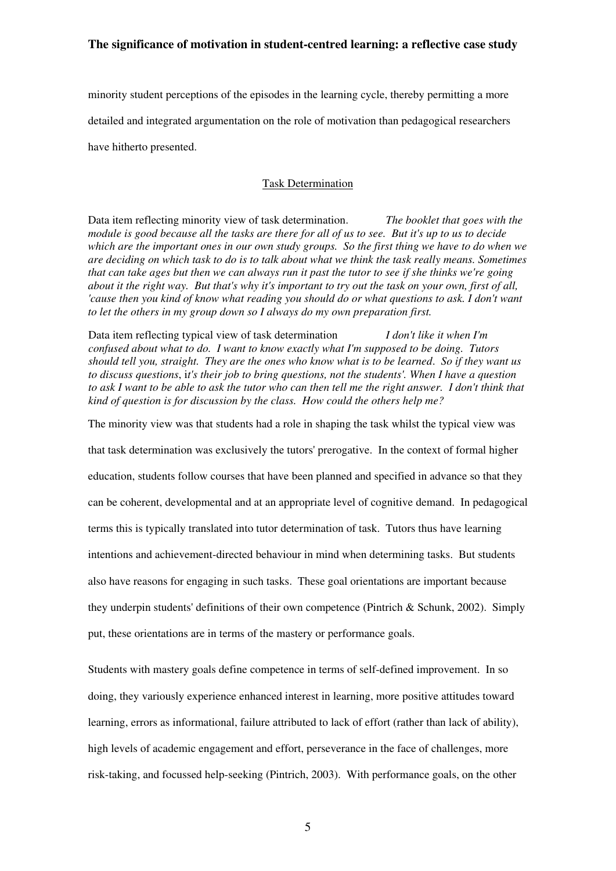minority student perceptions of the episodes in the learning cycle, thereby permitting a more detailed and integrated argumentation on the role of motivation than pedagogical researchers have hitherto presented.

# Task Determination

Data item reflecting minority view of task determination. *The booklet that goes with the module is good because all the tasks are there for all of us to see. But it's up to us to decide which are the important ones in our own study groups. So the first thing we have to do when we are deciding on which task to do is to talk about what we think the task really means. Sometimes that can take ages but then we can always run it past the tutor to see if she thinks we're going about it the right way. But that's why it's important to try out the task on your own, first of all, cause then you kind of know what reading you should do or what questions to ask. I don't want to let the others in my group down so I always do my own preparation first.* 

Data item reflecting typical view of task determination *I don't like it when I'm confused about what to do. I want to know exactly what I'm supposed to be doing. Tutors should tell you, straight. They are the ones who know what is to be learned*. *So if they want us to discuss questions*, i*t's their job to bring questions, not the students'. When I have a question*  to ask I want to be able to ask the tutor who can then tell me the right answer. I don't think that *kind of question is for discussion by the class. How could the others help me?* 

The minority view was that students had a role in shaping the task whilst the typical view was

that task determination was exclusively the tutors' prerogative. In the context of formal higher

education, students follow courses that have been planned and specified in advance so that they

can be coherent, developmental and at an appropriate level of cognitive demand. In pedagogical

terms this is typically translated into tutor determination of task. Tutors thus have learning

intentions and achievement-directed behaviour in mind when determining tasks. But students

also have reasons for engaging in such tasks. These goal orientations are important because

they underpin students' definitions of their own competence (Pintrich & Schunk, 2002). Simply

put, these orientations are in terms of the mastery or performance goals.

Students with mastery goals define competence in terms of self-defined improvement. In so doing, they variously experience enhanced interest in learning, more positive attitudes toward learning, errors as informational, failure attributed to lack of effort (rather than lack of ability), high levels of academic engagement and effort, perseverance in the face of challenges, more risk-taking, and focussed help-seeking (Pintrich, 2003). With performance goals, on the other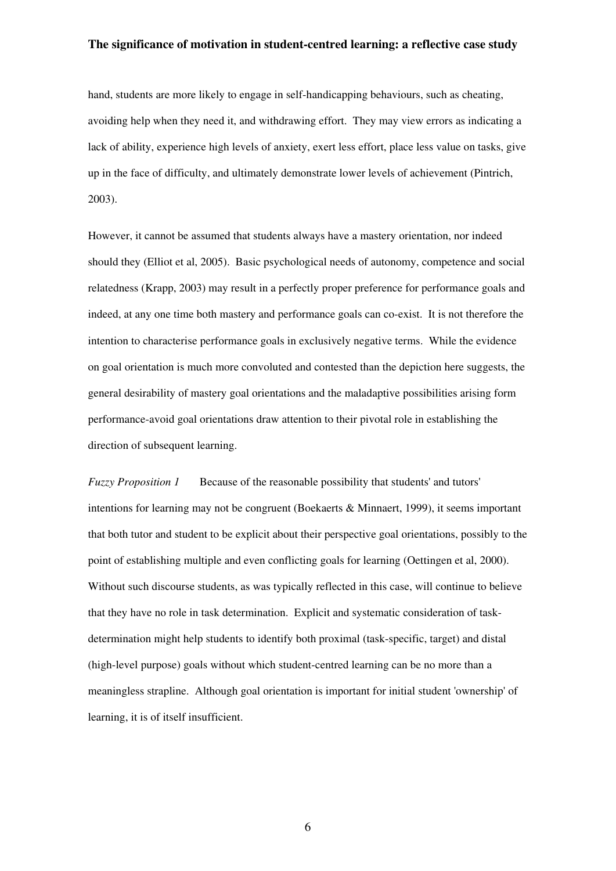hand, students are more likely to engage in self-handicapping behaviours, such as cheating, avoiding help when they need it, and withdrawing effort. They may view errors as indicating a lack of ability, experience high levels of anxiety, exert less effort, place less value on tasks, give up in the face of difficulty, and ultimately demonstrate lower levels of achievement (Pintrich, 2003).

However, it cannot be assumed that students always have a mastery orientation, nor indeed should they (Elliot et al, 2005). Basic psychological needs of autonomy, competence and social relatedness (Krapp, 2003) may result in a perfectly proper preference for performance goals and indeed, at any one time both mastery and performance goals can co-exist. It is not therefore the intention to characterise performance goals in exclusively negative terms. While the evidence on goal orientation is much more convoluted and contested than the depiction here suggests, the general desirability of mastery goal orientations and the maladaptive possibilities arising form performance-avoid goal orientations draw attention to their pivotal role in establishing the direction of subsequent learning.

*Fuzzy Proposition 1* Because of the reasonable possibility that students' and tutors' intentions for learning may not be congruent (Boekaerts & Minnaert, 1999), it seems important that both tutor and student to be explicit about their perspective goal orientations, possibly to the point of establishing multiple and even conflicting goals for learning (Oettingen et al, 2000). Without such discourse students, as was typically reflected in this case, will continue to believe that they have no role in task determination. Explicit and systematic consideration of taskdetermination might help students to identify both proximal (task-specific, target) and distal (high-level purpose) goals without which student-centred learning can be no more than a meaningless strapline. Although goal orientation is important for initial student 'ownership' of learning, it is of itself insufficient.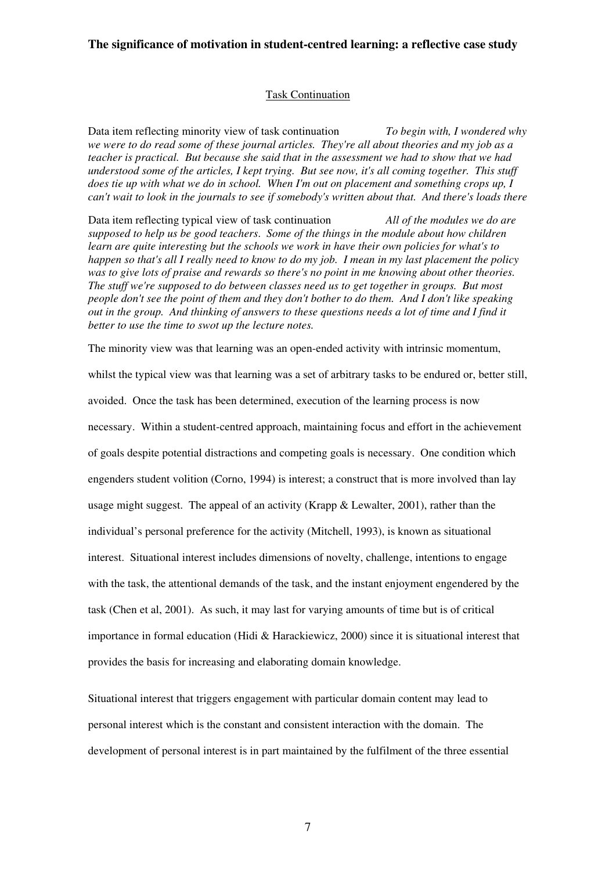#### Task Continuation

Data item reflecting minority view of task continuation *To begin with, I wondered why we were to do read some of these journal articles. They're all about theories and my job as a teacher is practical. But because she said that in the assessment we had to show that we had understood some of the articles, I kept trying. But see now, it's all coming together. This stuff does tie up with what we do in school. When I'm out on placement and something crops up, I can't wait to look in the journals to see if somebody's written about that. And there's loads there* 

Data item reflecting typical view of task continuation *All of the modules we do are supposed to help us be good teachers*. *Some of the things in the module about how children learn are quite interesting but the schools we work in have their own policies for what's to happen so that's all I really need to know to do my job. I mean in my last placement the policy was to give lots of praise and rewards so there's no point in me knowing about other theories. The stuff we're supposed to do between classes need us to get together in groups. But most people don't see the point of them and they don't bother to do them. And I don't like speaking out in the group. And thinking of answers to these questions needs a lot of time and I find it better to use the time to swot up the lecture notes.* 

The minority view was that learning was an open-ended activity with intrinsic momentum,

whilst the typical view was that learning was a set of arbitrary tasks to be endured or, better still, avoided. Once the task has been determined, execution of the learning process is now necessary. Within a student-centred approach, maintaining focus and effort in the achievement of goals despite potential distractions and competing goals is necessary. One condition which engenders student volition (Corno, 1994) is interest; a construct that is more involved than lay usage might suggest. The appeal of an activity (Krapp  $\&$  Lewalter, 2001), rather than the individual's personal preference for the activity (Mitchell, 1993), is known as situational interest. Situational interest includes dimensions of novelty, challenge, intentions to engage with the task, the attentional demands of the task, and the instant enjoyment engendered by the task (Chen et al, 2001). As such, it may last for varying amounts of time but is of critical importance in formal education (Hidi  $& Harackiewicz, 2000$ ) since it is situational interest that provides the basis for increasing and elaborating domain knowledge.

Situational interest that triggers engagement with particular domain content may lead to personal interest which is the constant and consistent interaction with the domain. The development of personal interest is in part maintained by the fulfilment of the three essential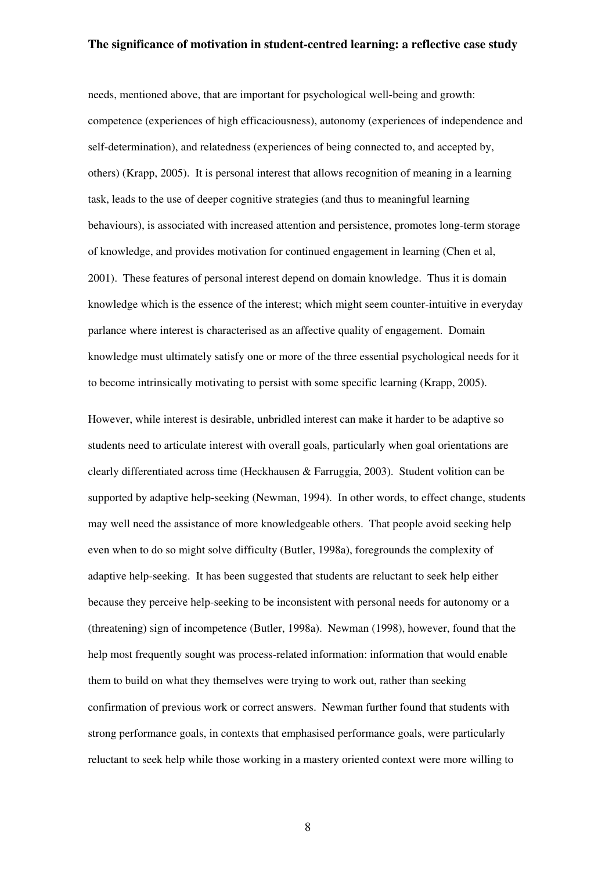needs, mentioned above, that are important for psychological well-being and growth: competence (experiences of high efficaciousness), autonomy (experiences of independence and self-determination), and relatedness (experiences of being connected to, and accepted by, others) (Krapp, 2005). It is personal interest that allows recognition of meaning in a learning task, leads to the use of deeper cognitive strategies (and thus to meaningful learning behaviours), is associated with increased attention and persistence, promotes long-term storage of knowledge, and provides motivation for continued engagement in learning (Chen et al, 2001). These features of personal interest depend on domain knowledge. Thus it is domain knowledge which is the essence of the interest; which might seem counter-intuitive in everyday parlance where interest is characterised as an affective quality of engagement. Domain knowledge must ultimately satisfy one or more of the three essential psychological needs for it to become intrinsically motivating to persist with some specific learning (Krapp, 2005).

However, while interest is desirable, unbridled interest can make it harder to be adaptive so students need to articulate interest with overall goals, particularly when goal orientations are clearly differentiated across time (Heckhausen & Farruggia, 2003). Student volition can be supported by adaptive help-seeking (Newman, 1994). In other words, to effect change, students may well need the assistance of more knowledgeable others. That people avoid seeking help even when to do so might solve difficulty (Butler, 1998a), foregrounds the complexity of adaptive help-seeking. It has been suggested that students are reluctant to seek help either because they perceive help-seeking to be inconsistent with personal needs for autonomy or a (threatening) sign of incompetence (Butler, 1998a). Newman (1998), however, found that the help most frequently sought was process-related information: information that would enable them to build on what they themselves were trying to work out, rather than seeking confirmation of previous work or correct answers. Newman further found that students with strong performance goals, in contexts that emphasised performance goals, were particularly reluctant to seek help while those working in a mastery oriented context were more willing to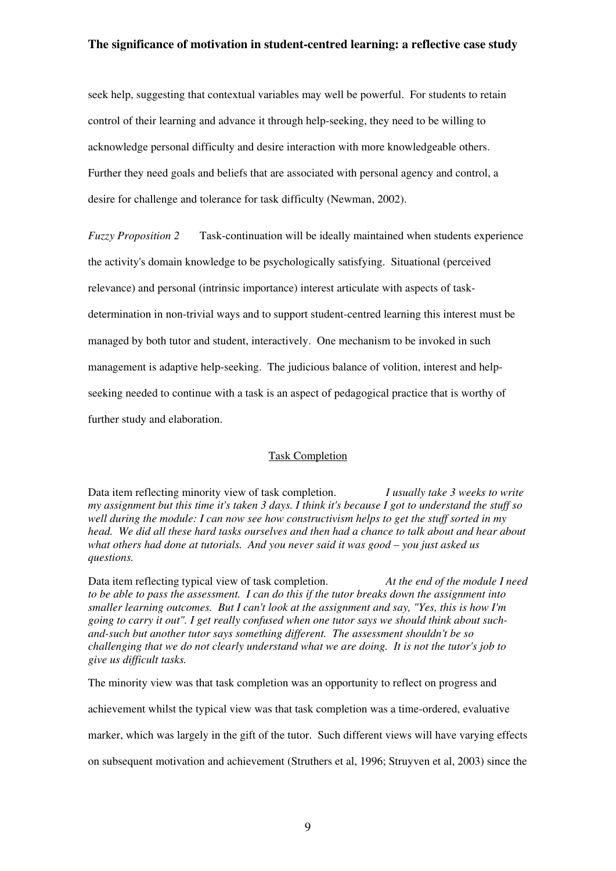seek help, suggesting that contextual variables may well be powerful. For students to retain control of their learning and advance it through help-seeking, they need to be willing to acknowledge personal difficulty and desire interaction with more knowledgeable others. Further they need goals and beliefs that are associated with personal agency and control, a desire for challenge and tolerance for task difficulty (Newman, 2002).

*Fuzzy Proposition 2* Task-continuation will be ideally maintained when students experience the activity's domain knowledge to be psychologically satisfying. Situational (perceived relevance) and personal (intrinsic importance) interest articulate with aspects of taskdetermination in non-trivial ways and to support student-centred learning this interest must be managed by both tutor and student, interactively. One mechanism to be invoked in such management is adaptive help-seeking. The judicious balance of volition, interest and helpseeking needed to continue with a task is an aspect of pedagogical practice that is worthy of further study and elaboration.

#### Task Completion

Data item reflecting minority view of task completion. *I usually take 3 weeks to write my assignment but this time it's taken 3 days. I think it's because I got to understand the stuff so well during the module: I can now see how constructivism helps to get the stuff sorted in my head. We did all these hard tasks ourselves and then had a chance to talk about and hear about what others had done at tutorials. And you never said it was good – you just asked us questions.* 

Data item reflecting typical view of task completion. *At the end of the module I need to be able to pass the assessment. I can do this if the tutor breaks down the assignment into smaller learning outcomes. But I can't look at the assignment and say, "Yes, this is how I'm going to carry it out". I get really confused when one tutor says we should think about suchand-such but another tutor says something different. The assessment shouldn't be so challenging that we do not clearly understand what we are doing. It is not the tutor's job to give us difficult tasks.* 

The minority view was that task completion was an opportunity to reflect on progress and

achievement whilst the typical view was that task completion was a time-ordered, evaluative

marker, which was largely in the gift of the tutor. Such different views will have varying effects

on subsequent motivation and achievement (Struthers et al, 1996; Struyven et al, 2003) since the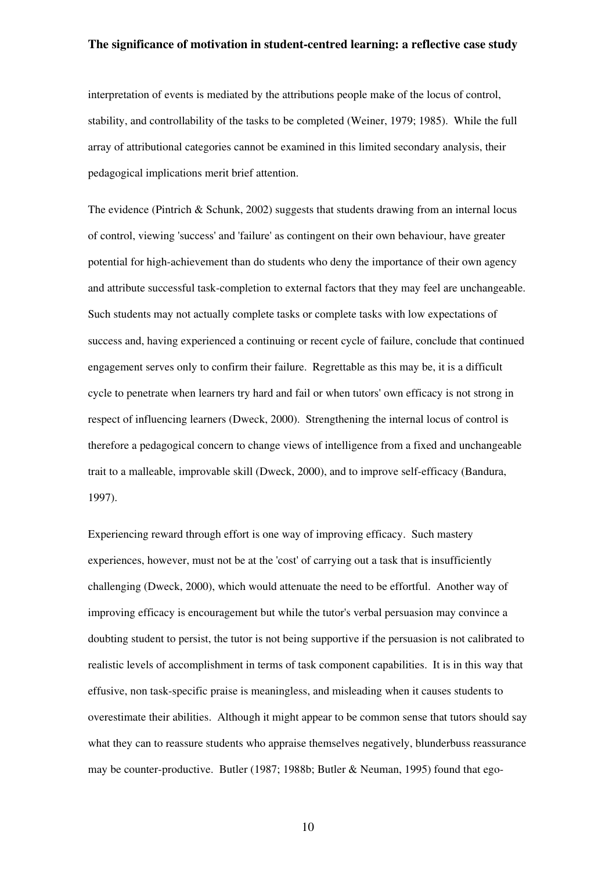interpretation of events is mediated by the attributions people make of the locus of control, stability, and controllability of the tasks to be completed (Weiner, 1979; 1985). While the full array of attributional categories cannot be examined in this limited secondary analysis, their pedagogical implications merit brief attention.

The evidence (Pintrich & Schunk, 2002) suggests that students drawing from an internal locus of control, viewing 'success' and 'failure' as contingent on their own behaviour, have greater potential for high-achievement than do students who deny the importance of their own agency and attribute successful task-completion to external factors that they may feel are unchangeable. Such students may not actually complete tasks or complete tasks with low expectations of success and, having experienced a continuing or recent cycle of failure, conclude that continued engagement serves only to confirm their failure. Regrettable as this may be, it is a difficult cycle to penetrate when learners try hard and fail or when tutors' own efficacy is not strong in respect of influencing learners (Dweck, 2000). Strengthening the internal locus of control is therefore a pedagogical concern to change views of intelligence from a fixed and unchangeable trait to a malleable, improvable skill (Dweck, 2000), and to improve self-efficacy (Bandura, 1997).

Experiencing reward through effort is one way of improving efficacy. Such mastery experiences, however, must not be at the 'cost' of carrying out a task that is insufficiently challenging (Dweck, 2000), which would attenuate the need to be effortful. Another way of improving efficacy is encouragement but while the tutor's verbal persuasion may convince a doubting student to persist, the tutor is not being supportive if the persuasion is not calibrated to realistic levels of accomplishment in terms of task component capabilities. It is in this way that effusive, non task-specific praise is meaningless, and misleading when it causes students to overestimate their abilities. Although it might appear to be common sense that tutors should say what they can to reassure students who appraise themselves negatively, blunderbuss reassurance may be counter-productive. Butler (1987; 1988b; Butler & Neuman, 1995) found that ego-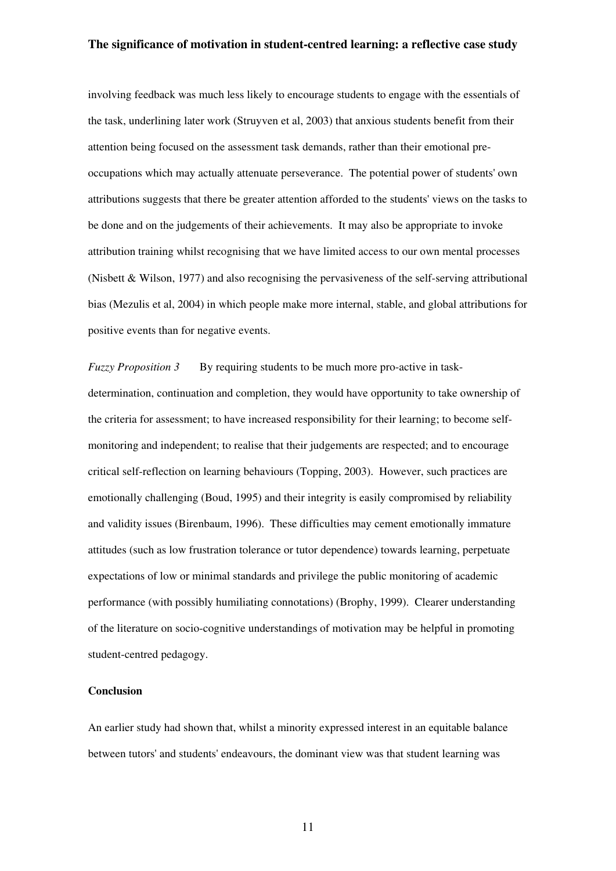involving feedback was much less likely to encourage students to engage with the essentials of the task, underlining later work (Struyven et al, 2003) that anxious students benefit from their attention being focused on the assessment task demands, rather than their emotional preoccupations which may actually attenuate perseverance. The potential power of students' own attributions suggests that there be greater attention afforded to the students' views on the tasks to be done and on the judgements of their achievements. It may also be appropriate to invoke attribution training whilst recognising that we have limited access to our own mental processes (Nisbett & Wilson, 1977) and also recognising the pervasiveness of the self-serving attributional bias (Mezulis et al, 2004) in which people make more internal, stable, and global attributions for positive events than for negative events.

*Fuzzy Proposition 3* By requiring students to be much more pro-active in taskdetermination, continuation and completion, they would have opportunity to take ownership of the criteria for assessment; to have increased responsibility for their learning; to become selfmonitoring and independent; to realise that their judgements are respected; and to encourage critical self-reflection on learning behaviours (Topping, 2003). However, such practices are emotionally challenging (Boud, 1995) and their integrity is easily compromised by reliability and validity issues (Birenbaum, 1996). These difficulties may cement emotionally immature attitudes (such as low frustration tolerance or tutor dependence) towards learning, perpetuate expectations of low or minimal standards and privilege the public monitoring of academic performance (with possibly humiliating connotations) (Brophy, 1999). Clearer understanding of the literature on socio-cognitive understandings of motivation may be helpful in promoting student-centred pedagogy.

## **Conclusion**

An earlier study had shown that, whilst a minority expressed interest in an equitable balance between tutors' and students' endeavours, the dominant view was that student learning was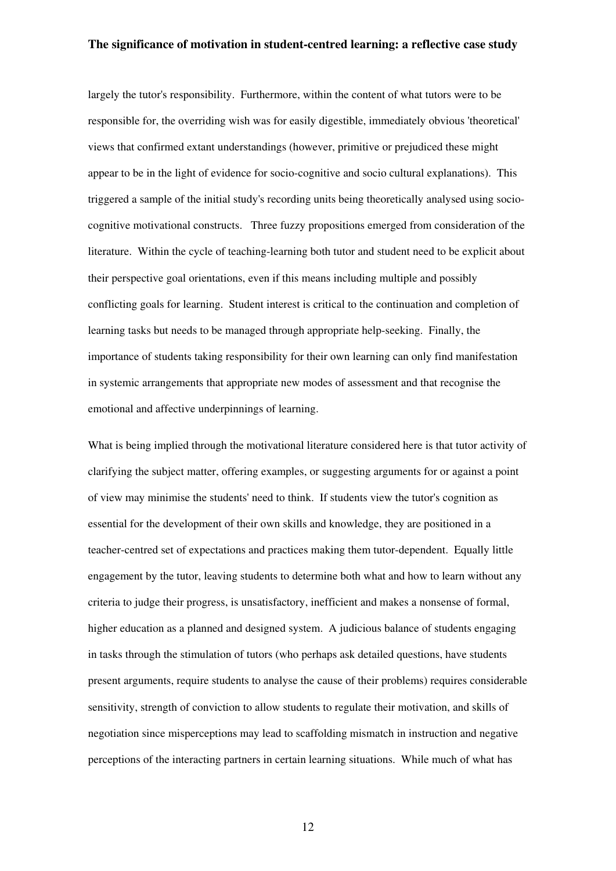largely the tutor's responsibility. Furthermore, within the content of what tutors were to be responsible for, the overriding wish was for easily digestible, immediately obvious 'theoretical' views that confirmed extant understandings (however, primitive or prejudiced these might appear to be in the light of evidence for socio-cognitive and socio cultural explanations). This triggered a sample of the initial study's recording units being theoretically analysed using sociocognitive motivational constructs. Three fuzzy propositions emerged from consideration of the literature. Within the cycle of teaching-learning both tutor and student need to be explicit about their perspective goal orientations, even if this means including multiple and possibly conflicting goals for learning. Student interest is critical to the continuation and completion of learning tasks but needs to be managed through appropriate help-seeking. Finally, the importance of students taking responsibility for their own learning can only find manifestation in systemic arrangements that appropriate new modes of assessment and that recognise the emotional and affective underpinnings of learning.

What is being implied through the motivational literature considered here is that tutor activity of clarifying the subject matter, offering examples, or suggesting arguments for or against a point of view may minimise the students' need to think. If students view the tutor's cognition as essential for the development of their own skills and knowledge, they are positioned in a teacher-centred set of expectations and practices making them tutor-dependent. Equally little engagement by the tutor, leaving students to determine both what and how to learn without any criteria to judge their progress, is unsatisfactory, inefficient and makes a nonsense of formal, higher education as a planned and designed system. A judicious balance of students engaging in tasks through the stimulation of tutors (who perhaps ask detailed questions, have students present arguments, require students to analyse the cause of their problems) requires considerable sensitivity, strength of conviction to allow students to regulate their motivation, and skills of negotiation since misperceptions may lead to scaffolding mismatch in instruction and negative perceptions of the interacting partners in certain learning situations. While much of what has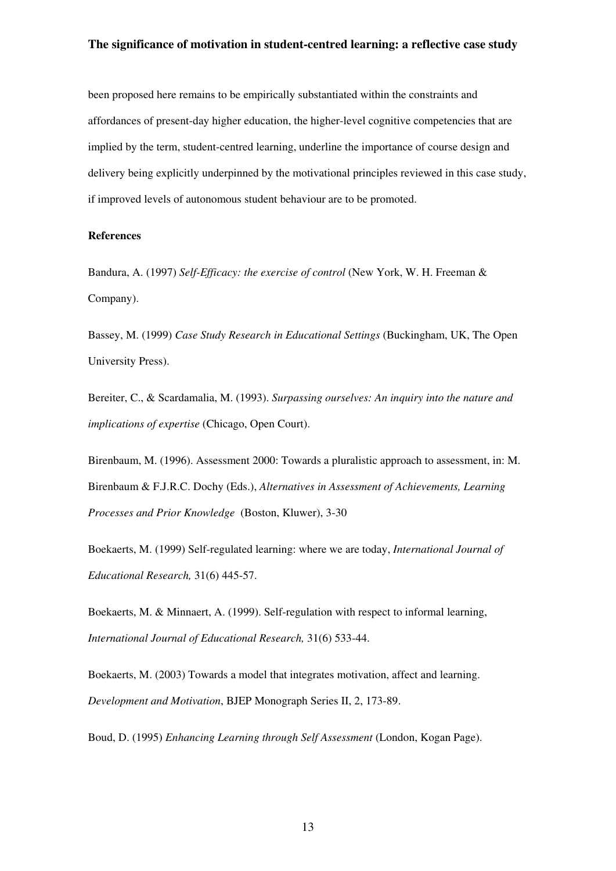been proposed here remains to be empirically substantiated within the constraints and affordances of present-day higher education, the higher-level cognitive competencies that are implied by the term, student-centred learning, underline the importance of course design and delivery being explicitly underpinned by the motivational principles reviewed in this case study, if improved levels of autonomous student behaviour are to be promoted.

## **References**

Bandura, A. (1997) *Self-Efficacy: the exercise of control* (New York, W. H. Freeman & Company).

Bassey, M. (1999) *Case Study Research in Educational Settings* (Buckingham, UK, The Open University Press).

Bereiter, C., & Scardamalia, M. (1993). *Surpassing ourselves: An inquiry into the nature and implications of expertise* (Chicago, Open Court).

Birenbaum, M. (1996). Assessment 2000: Towards a pluralistic approach to assessment, in: M. Birenbaum & F.J.R.C. Dochy (Eds.), *Alternatives in Assessment of Achievements, Learning Processes and Prior Knowledge* (Boston, Kluwer), 3-30

Boekaerts, M. (1999) Self-regulated learning: where we are today, *International Journal of Educational Research,* 31(6) 445-57.

Boekaerts, M. & Minnaert, A. (1999). Self-regulation with respect to informal learning, *International Journal of Educational Research,* 31(6) 533-44.

Boekaerts, M. (2003) Towards a model that integrates motivation, affect and learning. *Development and Motivation*, BJEP Monograph Series II, 2, 173-89.

Boud, D. (1995) *Enhancing Learning through Self Assessment* (London, Kogan Page).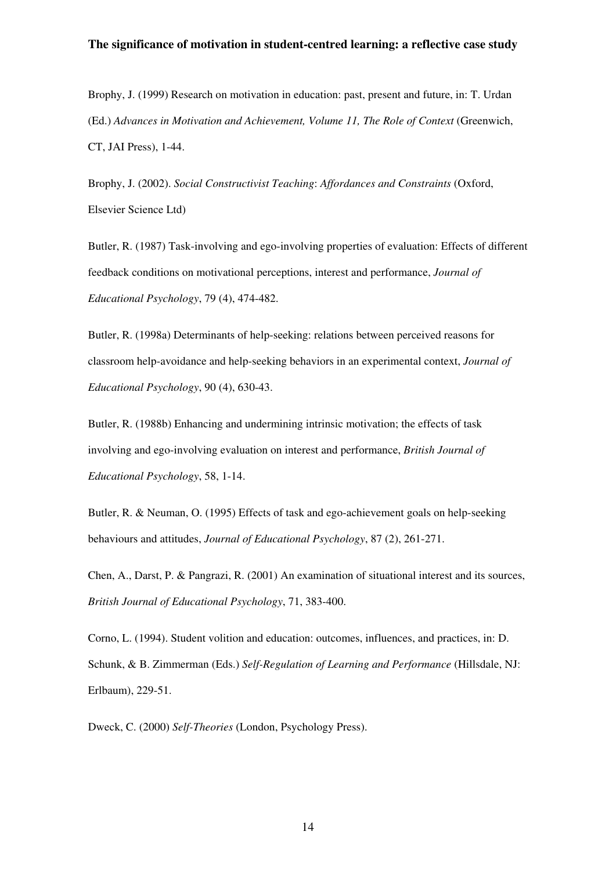Brophy, J. (1999) Research on motivation in education: past, present and future, in: T. Urdan (Ed.) *Advances in Motivation and Achievement, Volume 11, The Role of Context* (Greenwich, CT, JAI Press), 1-44.

Brophy, J. (2002). *Social Constructivist Teaching*: *Affordances and Constraints* (Oxford, Elsevier Science Ltd)

Butler, R. (1987) Task-involving and ego-involving properties of evaluation: Effects of different feedback conditions on motivational perceptions, interest and performance, *Journal of Educational Psychology*, 79 (4), 474-482.

Butler, R. (1998a) Determinants of help-seeking: relations between perceived reasons for classroom help-avoidance and help-seeking behaviors in an experimental context, *Journal of Educational Psychology*, 90 (4), 630-43.

Butler, R. (1988b) Enhancing and undermining intrinsic motivation; the effects of task involving and ego-involving evaluation on interest and performance, *British Journal of Educational Psychology*, 58, 1-14.

Butler, R. & Neuman, O. (1995) Effects of task and ego-achievement goals on help-seeking behaviours and attitudes, *Journal of Educational Psychology*, 87 (2), 261-271.

Chen, A., Darst, P. & Pangrazi, R. (2001) An examination of situational interest and its sources, *British Journal of Educational Psychology*, 71, 383-400.

Corno, L. (1994). Student volition and education: outcomes, influences, and practices, in: D. Schunk, & B. Zimmerman (Eds.) *Self-Regulation of Learning and Performance* (Hillsdale, NJ: Erlbaum), 229-51.

Dweck, C. (2000) *Self-Theories* (London, Psychology Press).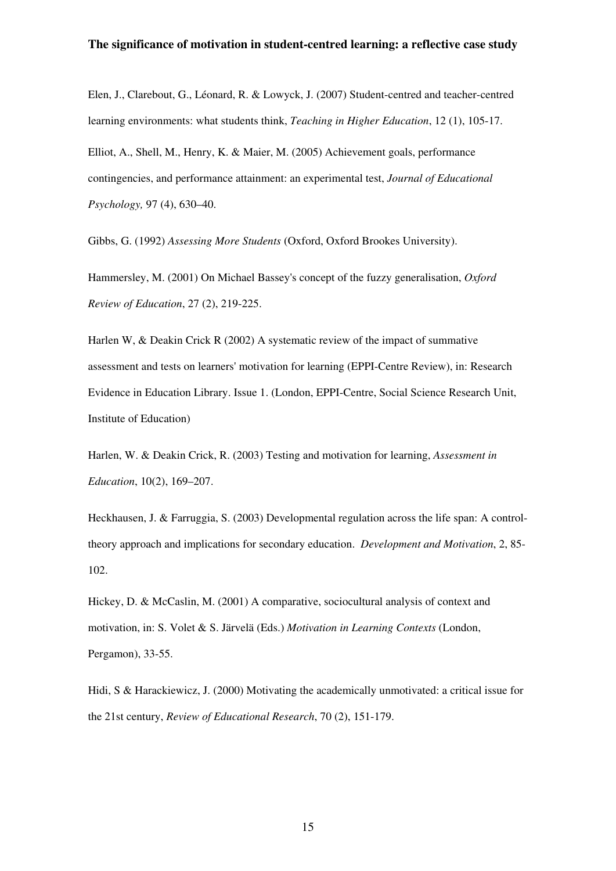Elen, J., Clarebout, G., Léonard, R. & Lowyck, J. (2007) Student-centred and teacher-centred learning environments: what students think, *Teaching in Higher Education*, 12 (1), 105-17. Elliot, A., Shell, M., Henry, K. & Maier, M. (2005) Achievement goals, performance contingencies, and performance attainment: an experimental test, *Journal of Educational Psychology,* 97 (4), 630–40.

Gibbs, G. (1992) *Assessing More Students* (Oxford, Oxford Brookes University).

Hammersley, M. (2001) On Michael Bassey's concept of the fuzzy generalisation, *Oxford Review of Education*, 27 (2), 219-225.

Harlen W, & Deakin Crick R (2002) A systematic review of the impact of summative assessment and tests on learners' motivation for learning (EPPI-Centre Review), in: Research Evidence in Education Library. Issue 1. (London, EPPI-Centre, Social Science Research Unit, Institute of Education)

Harlen, W. & Deakin Crick, R. (2003) Testing and motivation for learning, *Assessment in Education*, 10(2), 169–207.

Heckhausen, J. & Farruggia, S. (2003) Developmental regulation across the life span: A controltheory approach and implications for secondary education. *[Development and Motivation](http://www.ingentaconnect.com/content/bpsoc/dmjp)*, 2, 85- 102.

Hickey, D. & McCaslin, M. (2001) A comparative, sociocultural analysis of context and motivation, in: S. Volet & S. Järvelä (Eds.) *Motivation in Learning Contexts* (London, Pergamon), 33-55.

Hidi, S & Harackiewicz, J. (2000) Motivating the academically unmotivated: a critical issue for the 21st century, *Review of Educational Research*, 70 (2), 151-179.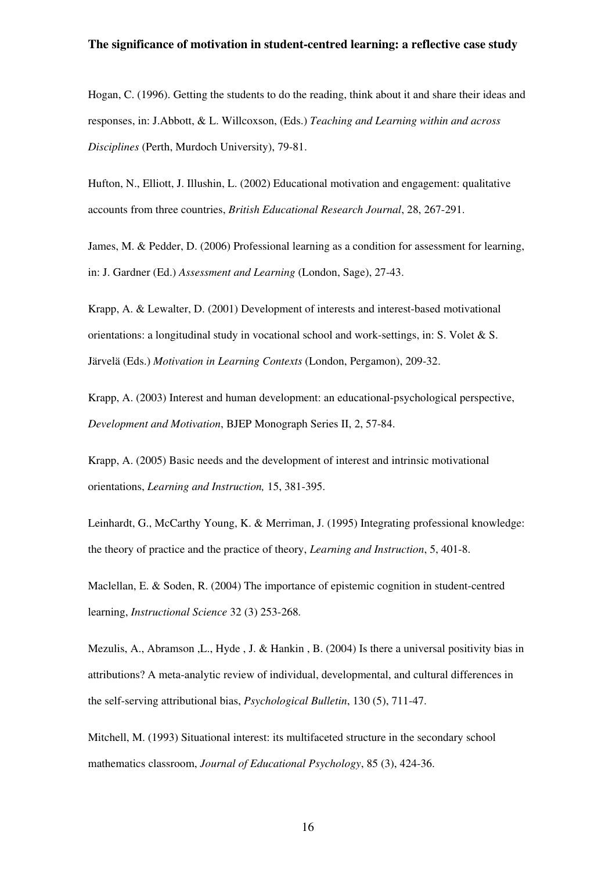Hogan, C. (1996). Getting the students to do the reading, think about it and share their ideas and responses, in: J.Abbott, & L. Willcoxson, (Eds.) *Teaching and Learning within and across Disciplines* (Perth, Murdoch University), 79-81.

Hufton, N., Elliott, J. Illushin, L. (2002) Educational motivation and engagement: qualitative accounts from three countries, *British Educational Research Journal*, 28, 267-291.

James, M. & Pedder, D. (2006) Professional learning as a condition for assessment for learning, in: J. Gardner (Ed.) *Assessment and Learning* (London, Sage), 27-43.

Krapp, A. & Lewalter, D. (2001) Development of interests and interest-based motivational orientations: a longitudinal study in vocational school and work-settings, in: S. Volet & S. Järvelä (Eds.) *Motivation in Learning Contexts* (London, Pergamon), 209-32.

Krapp, A. (2003) Interest and human development: an educational-psychological perspective, *Development and Motivation*, BJEP Monograph Series II, 2, 57-84.

Krapp, A. (2005) Basic needs and the development of interest and intrinsic motivational orientations, *Learning and Instruction,* 15, 381-395.

Leinhardt, G., McCarthy Young, K. & Merriman, J. (1995) Integrating professional knowledge: the theory of practice and the practice of theory, *Learning and Instruction*, 5, 401-8.

Maclellan, E. & Soden, R. (2004) The importance of epistemic cognition in student-centred learning, *Instructional Science* 32 (3) 253-268*.*

Mezulis, A., Abramson ,L., Hyde , J. & Hankin , B. (2004) Is there a universal positivity bias in attributions? A meta-analytic review of individual, developmental, and cultural differences in the self-serving attributional bias, *Psychological Bulletin*, 130 (5), 711-47.

Mitchell, M. (1993) Situational interest: its multifaceted structure in the secondary school mathematics classroom, *Journal of Educational Psychology*, 85 (3), 424-36.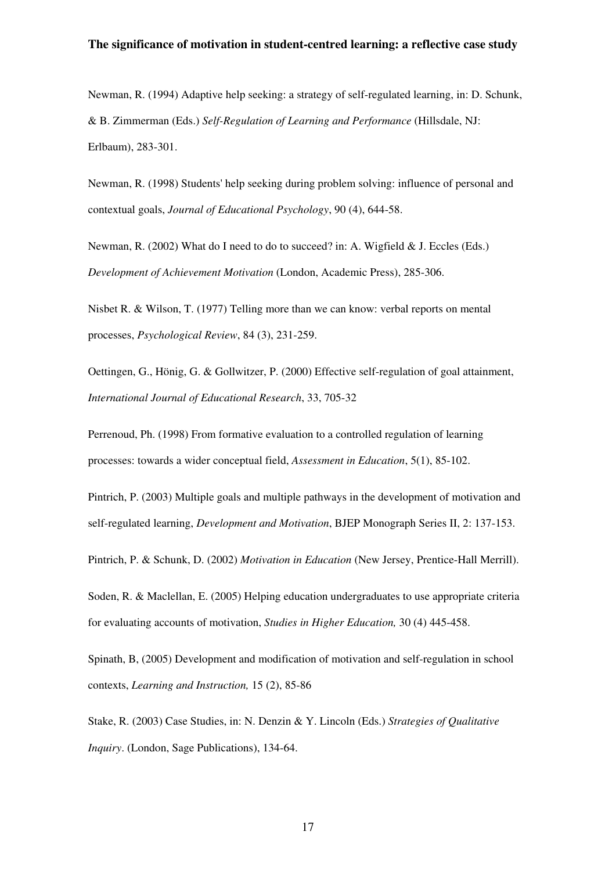Newman, R. (1994) Adaptive help seeking: a strategy of self-regulated learning, in: D. Schunk, & B. Zimmerman (Eds.) *Self-Regulation of Learning and Performance* (Hillsdale, NJ: Erlbaum), 283-301.

Newman, R. (1998) Students' help seeking during problem solving: influence of personal and contextual goals, *Journal of Educational Psychology*, 90 (4), 644-58.

Newman, R. (2002) What do I need to do to succeed? in: A. Wigfield & J. Eccles (Eds.) *Development of Achievement Motivation* (London, Academic Press), 285-306.

Nisbet R. & Wilson, T. (1977) Telling more than we can know: verbal reports on mental processes, *Psychological Review*, 84 (3), 231-259.

Oettingen, G., Hönig, G. & Gollwitzer, P. (2000) Effective self-regulation of goal attainment, *International Journal of Educational Research*, 33, 705-32

Perrenoud, Ph. (1998) From formative evaluation to a controlled regulation of learning processes: towards a wider conceptual field, *Assessment in Education*, 5(1), 85-102.

Pintrich, P. (2003) Multiple goals and multiple pathways in the development of motivation and self-regulated learning, *Development and Motivation*, BJEP Monograph Series II, 2: 137-153.

Pintrich, P. & Schunk, D. (2002) *Motivation in Education* (New Jersey, Prentice-Hall Merrill).

Soden, R. & Maclellan, E. (2005) Helping education undergraduates to use appropriate criteria for evaluating accounts of motivation, *Studies in Higher Education,* 30 (4) 445-458.

Spinath, B, (2005) Development and modification of motivation and self-regulation in school contexts, *[Learning and Instruction,](http://www.sciencedirect.com/science?_ob=JournalURL&_cdi=6021&_auth=y&_acct=C000046979&_version=1&_urlVersion=0&_userid=875629&md5=608e351b886f6d87f39f937b6de4c3a8)* [15 \(2](http://www.sciencedirect.com/science?_ob=IssueURL&_tockey=%23TOC%236021%232005%23999849997%23598001%23FLA%23&_auth=y&view=c&_acct=C000046979&_version=1&_urlVersion=0&_userid=875629&md5=6508bf292f1444d605d23060da2c16d2)), 85-86

Stake, R. (2003) Case Studies, in: N. Denzin & Y. Lincoln (Eds.) *Strategies of Qualitative Inquiry*. (London, Sage Publications), 134-64.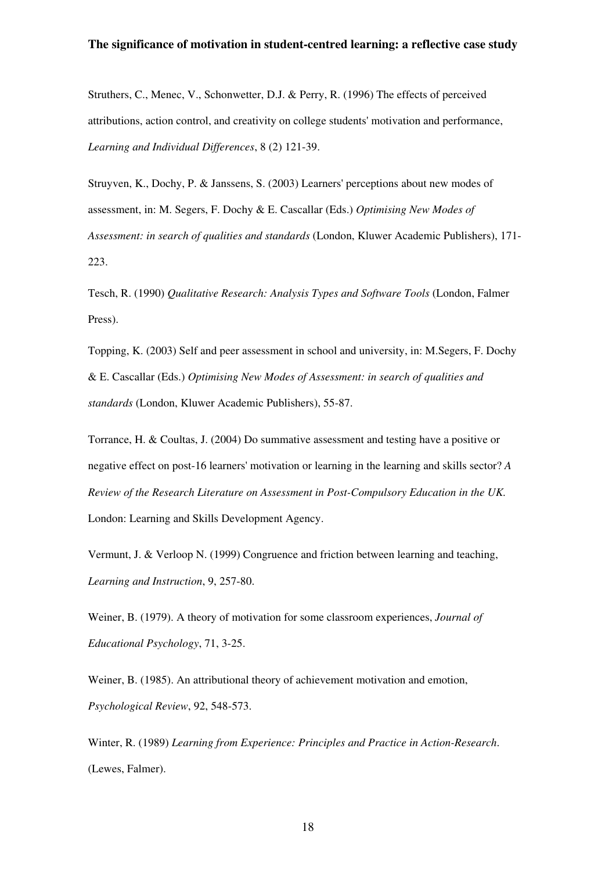Struthers, C., Menec, V., Schonwetter, D.J. & Perry, R. (1996) The effects of perceived attributions, action control, and creativity on college students' motivation and performance, *Learning and Individual Differences*, 8 (2) 121-39.

Struyven, K., Dochy, P. & Janssens, S. (2003) Learners' perceptions about new modes of assessment, in: M. Segers, F. Dochy & E. Cascallar (Eds.) *Optimising New Modes of Assessment: in search of qualities and standards* (London, Kluwer Academic Publishers), 171- 223.

Tesch, R. (1990) *Qualitative Research: Analysis Types and Software Tools* (London, Falmer Press).

Topping, K. (2003) Self and peer assessment in school and university, in: M.Segers, F. Dochy & E. Cascallar (Eds.) *Optimising New Modes of Assessment: in search of qualities and standards* (London, Kluwer Academic Publishers), 55-87.

Torrance, H. & Coultas, J. (2004) Do summative assessment and testing have a positive or negative effect on post-16 learners' motivation or learning in the learning and skills sector? *A Review of the Research Literature on Assessment in Post-Compulsory Education in the UK.*  London: Learning and Skills Development Agency.

Vermunt, J. & Verloop N. (1999) Congruence and friction between learning and teaching, *Learning and Instruction*, 9, 257-80.

Weiner, B. (1979). A theory of motivation for some classroom experiences, *Journal of Educational Psychology*, 71, 3-25.

Weiner, B. (1985). An attributional theory of achievement motivation and emotion, *Psychological Review*, 92, 548-573.

Winter, R. (1989) *Learning from Experience: Principles and Practice in Action-Research*. (Lewes, Falmer).